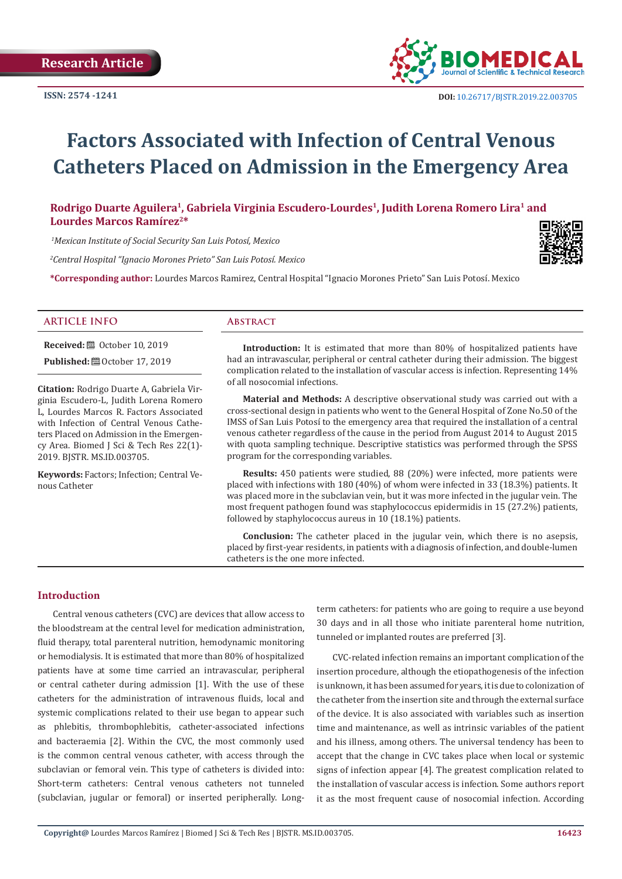

# **Factors Associated with Infection of Central Venous Catheters Placed on Admission in the Emergency Area**

# Rodrigo Duarte Aguilera<sup>1</sup>, Gabriela Virginia Escudero-Lourdes<sup>1</sup>, Judith Lorena Romero Lira<sup>1</sup> and **Lourdes Marcos Ramírez2\***

 *1Mexican Institute of Social Security San Luis Potosí, Mexico*

*2 Central Hospital "Ignacio Morones Prieto" San Luis Potosí. Mexico*

**\*Corresponding author:** Lourdes Marcos Ramirez, Central Hospital "Ignacio Morones Prieto" San Luis Potosí. Mexico



#### **ARTICLE INFO Abstract**

**Received:** ■ October 10, 2019 **Published:**  $@$  October 17, 2019

**Citation:** Rodrigo Duarte A, Gabriela Virginia Escudero-L, Judith Lorena Romero L, Lourdes Marcos R. Factors Associated with Infection of Central Venous Catheters Placed on Admission in the Emergency Area. Biomed J Sci & Tech Res 22(1)- 2019. BJSTR. MS.ID.003705.

**Keywords:** Factors; Infection; Central Venous Catheter

**Introduction:** It is estimated that more than 80% of hospitalized patients have had an intravascular, peripheral or central catheter during their admission. The biggest complication related to the installation of vascular access is infection. Representing 14% of all nosocomial infections.

**Material and Methods:** A descriptive observational study was carried out with a cross-sectional design in patients who went to the General Hospital of Zone No.50 of the IMSS of San Luis Potosí to the emergency area that required the installation of a central venous catheter regardless of the cause in the period from August 2014 to August 2015 with quota sampling technique. Descriptive statistics was performed through the SPSS program for the corresponding variables.

**Results:** 450 patients were studied, 88 (20%) were infected, more patients were placed with infections with 180 (40%) of whom were infected in 33 (18.3%) patients. It was placed more in the subclavian vein, but it was more infected in the jugular vein. The most frequent pathogen found was staphylococcus epidermidis in 15 (27.2%) patients, followed by staphylococcus aureus in 10 (18.1%) patients.

**Conclusion:** The catheter placed in the jugular vein, which there is no asepsis, placed by first-year residents, in patients with a diagnosis of infection, and double-lumen catheters is the one more infected.

### **Introduction**

Central venous catheters (CVC) are devices that allow access to the bloodstream at the central level for medication administration, fluid therapy, total parenteral nutrition, hemodynamic monitoring or hemodialysis. It is estimated that more than 80% of hospitalized patients have at some time carried an intravascular, peripheral or central catheter during admission [1]. With the use of these catheters for the administration of intravenous fluids, local and systemic complications related to their use began to appear such as phlebitis, thrombophlebitis, catheter-associated infections and bacteraemia [2]. Within the CVC, the most commonly used is the common central venous catheter, with access through the subclavian or femoral vein. This type of catheters is divided into: Short-term catheters: Central venous catheters not tunneled (subclavian, jugular or femoral) or inserted peripherally. Longterm catheters: for patients who are going to require a use beyond 30 days and in all those who initiate parenteral home nutrition, tunneled or implanted routes are preferred [3].

CVC-related infection remains an important complication of the insertion procedure, although the etiopathogenesis of the infection is unknown, it has been assumed for years, it is due to colonization of the catheter from the insertion site and through the external surface of the device. It is also associated with variables such as insertion time and maintenance, as well as intrinsic variables of the patient and his illness, among others. The universal tendency has been to accept that the change in CVC takes place when local or systemic signs of infection appear [4]. The greatest complication related to the installation of vascular access is infection. Some authors report it as the most frequent cause of nosocomial infection. According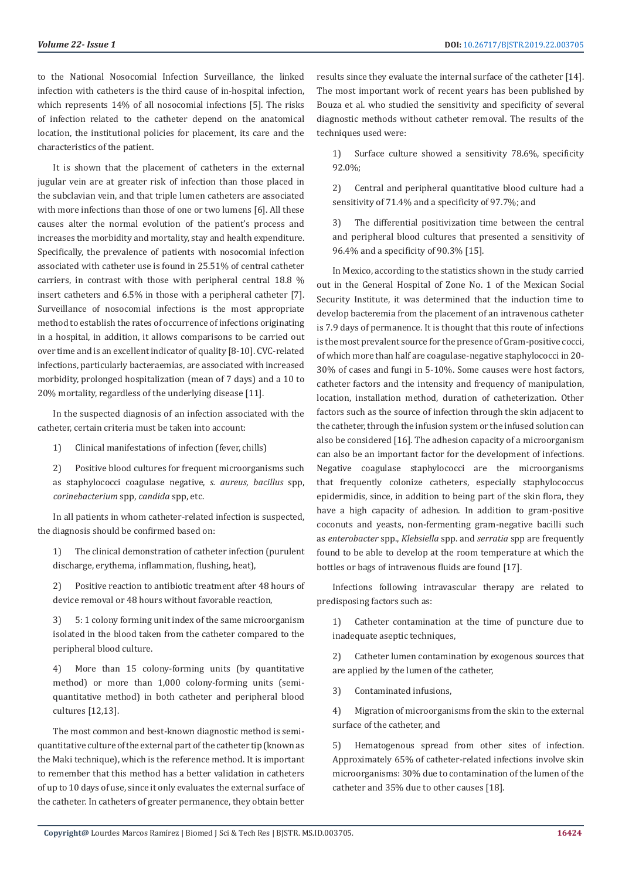to the National Nosocomial Infection Surveillance, the linked infection with catheters is the third cause of in-hospital infection, which represents 14% of all nosocomial infections [5]. The risks of infection related to the catheter depend on the anatomical location, the institutional policies for placement, its care and the characteristics of the patient.

It is shown that the placement of catheters in the external jugular vein are at greater risk of infection than those placed in the subclavian vein, and that triple lumen catheters are associated with more infections than those of one or two lumens [6]. All these causes alter the normal evolution of the patient's process and increases the morbidity and mortality, stay and health expenditure. Specifically, the prevalence of patients with nosocomial infection associated with catheter use is found in 25.51% of central catheter carriers, in contrast with those with peripheral central 18.8 % insert catheters and 6.5% in those with a peripheral catheter [7]. Surveillance of nosocomial infections is the most appropriate method to establish the rates of occurrence of infections originating in a hospital, in addition, it allows comparisons to be carried out over time and is an excellent indicator of quality [8-10]. CVC-related infections, particularly bacteraemias, are associated with increased morbidity, prolonged hospitalization (mean of 7 days) and a 10 to 20% mortality, regardless of the underlying disease [11].

In the suspected diagnosis of an infection associated with the catheter, certain criteria must be taken into account:

1) Clinical manifestations of infection (fever, chills)

2) Positive blood cultures for frequent microorganisms such as staphylococci coagulase negative, *s. aureus*, *bacillus* spp, *corinebacterium* spp, *candida* spp, etc.

In all patients in whom catheter-related infection is suspected, the diagnosis should be confirmed based on:

1) The clinical demonstration of catheter infection (purulent discharge, erythema, inflammation, flushing, heat),

2) Positive reaction to antibiotic treatment after 48 hours of device removal or 48 hours without favorable reaction,

3) 5: 1 colony forming unit index of the same microorganism isolated in the blood taken from the catheter compared to the peripheral blood culture.

4) More than 15 colony-forming units (by quantitative method) or more than 1,000 colony-forming units (semiquantitative method) in both catheter and peripheral blood cultures [12,13].

The most common and best-known diagnostic method is semiquantitative culture of the external part of the catheter tip (known as the Maki technique), which is the reference method. It is important to remember that this method has a better validation in catheters of up to 10 days of use, since it only evaluates the external surface of the catheter. In catheters of greater permanence, they obtain better results since they evaluate the internal surface of the catheter [14]. The most important work of recent years has been published by Bouza et al. who studied the sensitivity and specificity of several diagnostic methods without catheter removal. The results of the techniques used were:

1) Surface culture showed a sensitivity 78.6%, specificity 92.0%;

2) Central and peripheral quantitative blood culture had a sensitivity of 71.4% and a specificity of 97.7%; and

3) The differential positivization time between the central and peripheral blood cultures that presented a sensitivity of 96.4% and a specificity of 90.3% [15].

In Mexico, according to the statistics shown in the study carried out in the General Hospital of Zone No. 1 of the Mexican Social Security Institute, it was determined that the induction time to develop bacteremia from the placement of an intravenous catheter is 7.9 days of permanence. It is thought that this route of infections is the most prevalent source for the presence of Gram-positive cocci, of which more than half are coagulase-negative staphylococci in 20- 30% of cases and fungi in 5-10%. Some causes were host factors, catheter factors and the intensity and frequency of manipulation, location, installation method, duration of catheterization. Other factors such as the source of infection through the skin adjacent to the catheter, through the infusion system or the infused solution can also be considered [16]. The adhesion capacity of a microorganism can also be an important factor for the development of infections. Negative coagulase staphylococci are the microorganisms that frequently colonize catheters, especially staphylococcus epidermidis, since, in addition to being part of the skin flora, they have a high capacity of adhesion. In addition to gram-positive coconuts and yeasts, non-fermenting gram-negative bacilli such as *enterobacter* spp., *Klebsiella* spp. and *serratia* spp are frequently found to be able to develop at the room temperature at which the bottles or bags of intravenous fluids are found [17].

Infections following intravascular therapy are related to predisposing factors such as:

1) Catheter contamination at the time of puncture due to inadequate aseptic techniques,

2) Catheter lumen contamination by exogenous sources that are applied by the lumen of the catheter,

3) Contaminated infusions,

4) Migration of microorganisms from the skin to the external surface of the catheter, and

5) Hematogenous spread from other sites of infection. Approximately 65% of catheter-related infections involve skin microorganisms: 30% due to contamination of the lumen of the catheter and 35% due to other causes [18].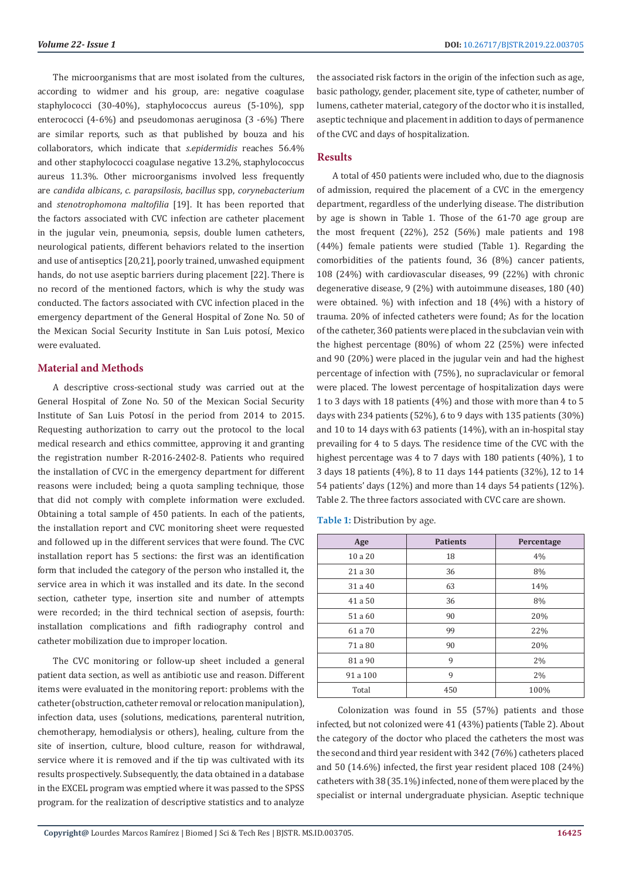The microorganisms that are most isolated from the cultures, according to widmer and his group, are: negative coagulase staphylococci (30-40%), staphylococcus aureus (5-10%), spp enterococci (4-6%) and pseudomonas aeruginosa (3 -6%) There are similar reports, such as that published by bouza and his collaborators, which indicate that *s.epidermidis* reaches 56.4% and other staphylococci coagulase negative 13.2%, staphylococcus aureus 11.3%. Other microorganisms involved less frequently are *candida albicans*, *c. parapsilosis*, *bacillus* spp, *corynebacterium*  and *stenotrophomona maltofilia* [19]. It has been reported that the factors associated with CVC infection are catheter placement in the jugular vein, pneumonia, sepsis, double lumen catheters, neurological patients, different behaviors related to the insertion and use of antiseptics [20,21], poorly trained, unwashed equipment hands, do not use aseptic barriers during placement [22]. There is no record of the mentioned factors, which is why the study was conducted. The factors associated with CVC infection placed in the emergency department of the General Hospital of Zone No. 50 of the Mexican Social Security Institute in San Luis potosí, Mexico were evaluated.

### **Material and Methods**

A descriptive cross-sectional study was carried out at the General Hospital of Zone No. 50 of the Mexican Social Security Institute of San Luis Potosí in the period from 2014 to 2015. Requesting authorization to carry out the protocol to the local medical research and ethics committee, approving it and granting the registration number R-2016-2402-8. Patients who required the installation of CVC in the emergency department for different reasons were included; being a quota sampling technique, those that did not comply with complete information were excluded. Obtaining a total sample of 450 patients. In each of the patients, the installation report and CVC monitoring sheet were requested and followed up in the different services that were found. The CVC installation report has 5 sections: the first was an identification form that included the category of the person who installed it, the service area in which it was installed and its date. In the second section, catheter type, insertion site and number of attempts were recorded; in the third technical section of asepsis, fourth: installation complications and fifth radiography control and catheter mobilization due to improper location.

The CVC monitoring or follow-up sheet included a general patient data section, as well as antibiotic use and reason. Different items were evaluated in the monitoring report: problems with the catheter (obstruction, catheter removal or relocation manipulation), infection data, uses (solutions, medications, parenteral nutrition, chemotherapy, hemodialysis or others), healing, culture from the site of insertion, culture, blood culture, reason for withdrawal, service where it is removed and if the tip was cultivated with its results prospectively. Subsequently, the data obtained in a database in the EXCEL program was emptied where it was passed to the SPSS program. for the realization of descriptive statistics and to analyze

the associated risk factors in the origin of the infection such as age, basic pathology, gender, placement site, type of catheter, number of lumens, catheter material, category of the doctor who it is installed, aseptic technique and placement in addition to days of permanence of the CVC and days of hospitalization.

### **Results**

A total of 450 patients were included who, due to the diagnosis of admission, required the placement of a CVC in the emergency department, regardless of the underlying disease. The distribution by age is shown in Table 1. Those of the 61-70 age group are the most frequent (22%), 252 (56%) male patients and 198 (44%) female patients were studied (Table 1). Regarding the comorbidities of the patients found, 36 (8%) cancer patients, 108 (24%) with cardiovascular diseases, 99 (22%) with chronic degenerative disease, 9 (2%) with autoimmune diseases, 180 (40) were obtained. %) with infection and 18 (4%) with a history of trauma. 20% of infected catheters were found; As for the location of the catheter, 360 patients were placed in the subclavian vein with the highest percentage (80%) of whom 22 (25%) were infected and 90 (20%) were placed in the jugular vein and had the highest percentage of infection with (75%), no supraclavicular or femoral were placed. The lowest percentage of hospitalization days were 1 to 3 days with 18 patients (4%) and those with more than 4 to 5 days with 234 patients (52%), 6 to 9 days with 135 patients (30%) and 10 to 14 days with 63 patients (14%), with an in-hospital stay prevailing for 4 to 5 days. The residence time of the CVC with the highest percentage was 4 to 7 days with 180 patients (40%), 1 to 3 days 18 patients (4%), 8 to 11 days 144 patients (32%), 12 to 14 54 patients' days (12%) and more than 14 days 54 patients (12%). Table 2. The three factors associated with CVC care are shown.

Table 1: Distribution by age.

| Age      | <b>Patients</b> | Percentage |
|----------|-----------------|------------|
| 10 a 20  | 18              | 4%         |
| 21 a 30  | 36              | 8%         |
| 31 a 40  | 63              | 14%        |
| 41 a 50  | 36              | 8%         |
| 51 a 60  | 90              | 20%        |
| 61 a 70  | 99              | 22%        |
| 71 a 80  | 90              | 20%        |
| 81 a 90  | 9               | 2%         |
| 91 a 100 | 9               | 2%         |
| Total    | 450             | 100%       |

 Colonization was found in 55 (57%) patients and those infected, but not colonized were 41 (43%) patients (Table 2). About the category of the doctor who placed the catheters the most was the second and third year resident with 342 (76%) catheters placed and 50 (14.6%) infected, the first year resident placed 108 (24%) catheters with 38 (35.1%) infected, none of them were placed by the specialist or internal undergraduate physician. Aseptic technique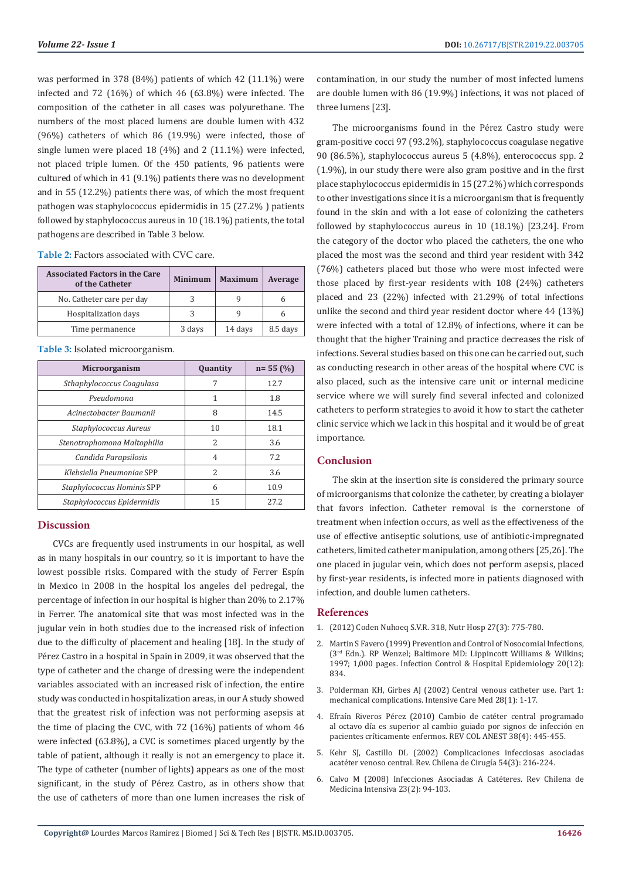was performed in 378 (84%) patients of which 42 (11.1%) were infected and 72 (16%) of which 46 (63.8%) were infected. The composition of the catheter in all cases was polyurethane. The numbers of the most placed lumens are double lumen with 432 (96%) catheters of which 86 (19.9%) were infected, those of single lumen were placed 18 (4%) and 2 (11.1%) were infected, not placed triple lumen. Of the 450 patients, 96 patients were cultured of which in 41 (9.1%) patients there was no development and in 55 (12.2%) patients there was, of which the most frequent pathogen was staphylococcus epidermidis in 15 (27.2% ) patients followed by staphylococcus aureus in 10 (18.1%) patients, the total pathogens are described in Table 3 below.

**Table 2:** Factors associated with CVC care.

| <b>Associated Factors in the Care</b><br>of the Catheter | <b>Minimum</b> | <b>Maximum</b> | Average  |
|----------------------------------------------------------|----------------|----------------|----------|
| No. Catheter care per day                                |                |                |          |
| Hospitalization days                                     |                |                |          |
| Time permanence                                          | 3 days         | 14 days        | 8.5 days |

**Table 3:** Isolated microorganism.

| <b>Microorganism</b>        | <b>Quantity</b> | $n = 55(%)$ |
|-----------------------------|-----------------|-------------|
| Sthaphylococcus Coagulasa   | 7               | 12.7        |
| Pseudomona                  | 1               | 1.8         |
| Acinectobacter Baumanii     | 8               | 14.5        |
| Staphylococcus Aureus       | 10              | 18.1        |
| Stenotrophomona Maltophilia | $\mathcal{P}$   | 3.6         |
| Candida Parapsilosis        | 4               | 7.2         |
| Klebsiella Pneumoniae SPP   | $\mathcal{L}$   | 3.6         |
| Staphylococcus Hominis SPP  | 6               | 10.9        |
| Staphylococcus Epidermidis  | 15              | 27.2        |

#### **Discussion**

CVCs are frequently used instruments in our hospital, as well as in many hospitals in our country, so it is important to have the lowest possible risks. Compared with the study of Ferrer Espín in Mexico in 2008 in the hospital los angeles del pedregal, the percentage of infection in our hospital is higher than 20% to 2.17% in Ferrer. The anatomical site that was most infected was in the jugular vein in both studies due to the increased risk of infection due to the difficulty of placement and healing [18]. In the study of Pérez Castro in a hospital in Spain in 2009, it was observed that the type of catheter and the change of dressing were the independent variables associated with an increased risk of infection, the entire study was conducted in hospitalization areas, in our A study showed that the greatest risk of infection was not performing asepsis at the time of placing the CVC, with 72 (16%) patients of whom 46 were infected (63.8%), a CVC is sometimes placed urgently by the table of patient, although it really is not an emergency to place it. The type of catheter (number of lights) appears as one of the most significant, in the study of Pérez Castro, as in others show that the use of catheters of more than one lumen increases the risk of

contamination, in our study the number of most infected lumens are double lumen with 86 (19.9%) infections, it was not placed of three lumens [23].

The microorganisms found in the Pérez Castro study were gram-positive cocci 97 (93.2%), staphylococcus coagulase negative 90 (86.5%), staphylococcus aureus 5 (4.8%), enterococcus spp. 2 (1.9%), in our study there were also gram positive and in the first place staphylococcus epidermidis in 15 (27.2%) which corresponds to other investigations since it is a microorganism that is frequently found in the skin and with a lot ease of colonizing the catheters followed by staphylococcus aureus in 10 (18.1%) [23,24]. From the category of the doctor who placed the catheters, the one who placed the most was the second and third year resident with 342 (76%) catheters placed but those who were most infected were those placed by first-year residents with 108 (24%) catheters placed and 23 (22%) infected with 21.29% of total infections unlike the second and third year resident doctor where 44 (13%) were infected with a total of 12.8% of infections, where it can be thought that the higher Training and practice decreases the risk of infections. Several studies based on this one can be carried out, such as conducting research in other areas of the hospital where CVC is also placed, such as the intensive care unit or internal medicine service where we will surely find several infected and colonized catheters to perform strategies to avoid it how to start the catheter clinic service which we lack in this hospital and it would be of great importance.

#### **Conclusion**

The skin at the insertion site is considered the primary source of microorganisms that colonize the catheter, by creating a biolayer that favors infection. Catheter removal is the cornerstone of treatment when infection occurs, as well as the effectiveness of the use of effective antiseptic solutions, use of antibiotic-impregnated catheters, limited catheter manipulation, among others [25,26]. The one placed in jugular vein, which does not perform asepsis, placed by first-year residents, is infected more in patients diagnosed with infection, and double lumen catheters.

#### **References**

- 1. (2012) Coden Nuhoeq S.V.R. 318, Nutr Hosp 27(3): 775-780.
- 2. [Martin S Favero \(1999\) Prevention and Control of Nosocomial Infections,](https://www.cambridge.org/core/journals/infection-control-and-hospital-epidemiology/article/prevention-and-control-of-nosocomial-infections-3rd-ed-rp-wenzel-baltimore-md-lippincott-williams-wilkins-1997-1000-pages/ECD48AAAC1525A403A71FB94D9ED477F) (3rd [Edn.\). RP Wenzel; Baltimore MD: Lippincott Williams & Wilkins;](https://www.cambridge.org/core/journals/infection-control-and-hospital-epidemiology/article/prevention-and-control-of-nosocomial-infections-3rd-ed-rp-wenzel-baltimore-md-lippincott-williams-wilkins-1997-1000-pages/ECD48AAAC1525A403A71FB94D9ED477F) [1997; 1,000 pages. Infection Control & Hospital Epidemiology 20\(12\):](https://www.cambridge.org/core/journals/infection-control-and-hospital-epidemiology/article/prevention-and-control-of-nosocomial-infections-3rd-ed-rp-wenzel-baltimore-md-lippincott-williams-wilkins-1997-1000-pages/ECD48AAAC1525A403A71FB94D9ED477F) [834.](https://www.cambridge.org/core/journals/infection-control-and-hospital-epidemiology/article/prevention-and-control-of-nosocomial-infections-3rd-ed-rp-wenzel-baltimore-md-lippincott-williams-wilkins-1997-1000-pages/ECD48AAAC1525A403A71FB94D9ED477F)
- 3. [Polderman KH, Girbes AJ \(2002\) Central venous catheter use. Part 1:](https://www.ncbi.nlm.nih.gov/pubmed/11818994) [mechanical complications. Intensive Care Med 28\(1\): 1-17.](https://www.ncbi.nlm.nih.gov/pubmed/11818994)
- 4. [Efraín Riveros Pérez \(2010\) Cambio de catéter central programado](https://www.sciencedirect.com/science/article/pii/S0120334710840031) [al octavo día es superior al cambio guiado por signos de infección en](https://www.sciencedirect.com/science/article/pii/S0120334710840031) [pacientes críticamente enfermos. REV COL ANEST 38\(4\): 445-455.](https://www.sciencedirect.com/science/article/pii/S0120334710840031)
- 5. [Kehr SJ, Castillo DL \(2002\) Complicaciones infecciosas asociadas](https://www.cirujanosdechile.cl/revista_anteriores/PDF%20Cirujanos%202002_03/Cir.3_2002%20Complica.Infecciosas.pdf) [acatéter venoso central. Rev. Chilena de Cirugí](https://www.cirujanosdechile.cl/revista_anteriores/PDF%20Cirujanos%202002_03/Cir.3_2002%20Complica.Infecciosas.pdf)a 54(3): 216-224.
- 6. Calvo M (2008) Infecciones Asociadas A Catéteres. Rev Chilena de Medicina Intensiva 23(2): 94-103.